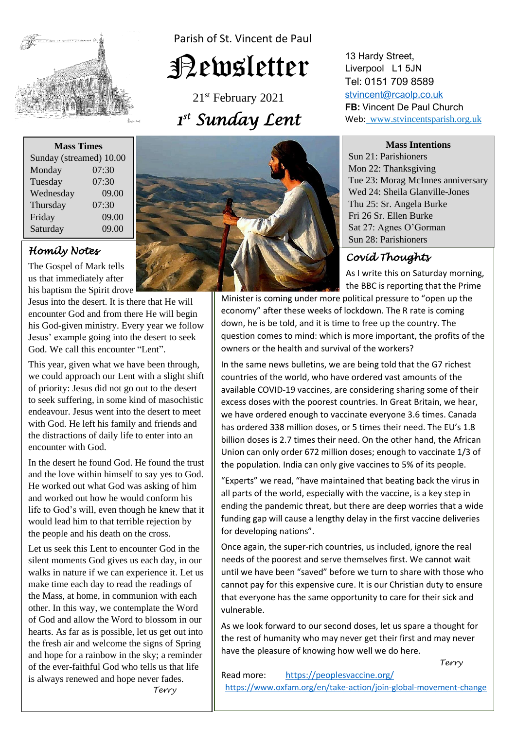

Parish of St. Vincent de Paul

# Newsletter

21<sup>st</sup> February 2021 *1 st Sunday Lent* 

#### **Mass Times**

| Sunday (streamed) 10.00 |       |
|-------------------------|-------|
| Monday                  | 07:30 |
| Tuesday                 | 07:30 |
| Wednesday               | 09.00 |
| Thursday                | 07:30 |
| Friday                  | 09.00 |
| Saturday                | 09.00 |

## *Homily Notes*

us that immediately after The Gospel of Mark tells his baptism the Spirit drove

**Jesus into the desert. It is there that He will require Cod and from them II railly hosis** his God-given ministry. Every year we follo<br>Jesus' example going into the desert to seek encounter God and from there He will begin his God-given ministry. Every year we follow God. We call this encounter "Lent".

 This year, given what we have been through, we could approach our Left with a slight sin-<br>of priority: Jesus did not go out to the desert endeavour. Jesus went into the desert to meet the distractions of daily life to enter into an  $\frac{1}{2}$ we could approach our Lent with a slight shift to seek suffering, in some kind of masochistic with God. He left his family and friends and encounter with God.

In the desert he found God. He found the trust **He worked out what God was asking of him**<br>and worked out how he would conform his IITe to God's will, even though he knew tha<br>would lead him to that terrible rejection by and the love within himself to say yes to God. and worked out how he would conform his life to God's will, even though he knew that it the people and his death on the cross.

Let us seek this Lent to encounter God in the shent moments God gives us each day, in our walks in nature if we can experience it. Let us the Mass, at home, in communion with each of God and allow the Word to blossom in our silent moments God gives us each day, in our make time each day to read the readings of other. In this way, we contemplate the Word hearts. As far as is possible, let us get out into the fresh air and welcome the signs of Spring and hope for a rainbow in the sky; a reminder of the ever-faithful God who tells us that life is always renewed and hope never fades. *Terry* 



13 Hardy Street, Liverpool L1 5JN Tel: 0151 709 8589 [stvincent@rcaolp.co.uk](mailto:stvincent@rcaolp.co.uk) **FB:** Vincent De Paul Church Web: www.stvincentsparish.org.uk

#### **Mass Intentions**

Sun 21: Parishioners Mon 22: Thanksgiving Tue 23: Morag McInnes anniversary Wed 24: Sheila Glanville-Jones Thu 25: Sr. Angela Burke Fri 26 Sr. Ellen Burke Sat 27: Agnes O'Gorman Sun 28: Parishioners

# *Covid Thoughts*

As I write this on Saturday morning, the BBC is reporting that the Prime

Minister is coming under more political pressure to "open up the economy" after these weeks of lockdown. The R rate is coming down, he is be told, and it is time to free up the country. The question comes to mind: which is more important, the profits of the owners or the health and survival of the workers?

In the same news bulletins, we are being told that the G7 richest countries of the world, who have ordered vast amounts of the available COVID-19 vaccines, are considering sharing some of their excess doses with the poorest countries. In Great Britain, we hear, we have ordered enough to vaccinate everyone 3.6 times. Canada has ordered 338 million doses, or 5 times their need. The EU's 1.8 billion doses is 2.7 times their need. On the other hand, the African Union can only order 672 million doses; enough to vaccinate 1/3 of the population. India can only give vaccines to 5% of its people.

"Experts" we read, "have maintained that beating back the virus in all parts of the world, especially with the vaccine, is a key step in ending the pandemic threat, but there are deep worries that a wide funding gap will cause a lengthy delay in the first vaccine deliveries for developing nations".

Once again, the super-rich countries, us included, ignore the real needs of the poorest and serve themselves first. We cannot wait until we have been "saved" before we turn to share with those who cannot pay for this expensive cure. It is our Christian duty to ensure that everyone has the same opportunity to care for their sick and vulnerable.

As we look forward to our second doses, let us spare a thought for the rest of humanity who may never get their first and may never have the pleasure of knowing how well we do here.

*Terry*

Read more: <https://peoplesvaccine.org/> <https://www.oxfam.org/en/take-action/join-global-movement-change>